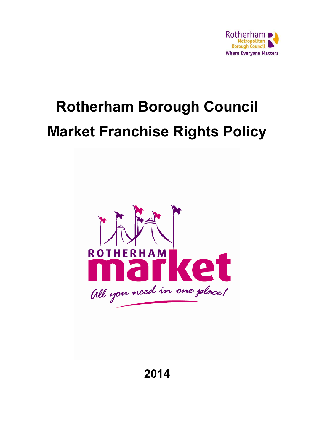

# Rotherham Borough Council Market Franchise Rights Policy



2014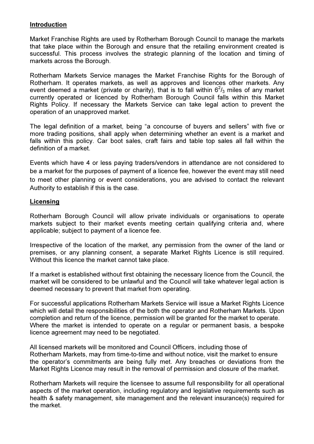### Introduction

Market Franchise Rights are used by Rotherham Borough Council to manage the markets that take place within the Borough and ensure that the retailing environment created is successful. This process involves the strategic planning of the location and timing of markets across the Borough.

Rotherham Markets Service manages the Market Franchise Rights for the Borough of Rotherham. It operates markets, as well as approves and licences other markets. Any event deemed a market (private or charity), that is to fall within  $6^2$ /<sub>3</sub> miles of any market currently operated or licenced by Rotherham Borough Council falls within this Market Rights Policy. If necessary the Markets Service can take legal action to prevent the operation of an unapproved market.

The legal definition of a market, being "a concourse of buyers and sellers" with five or more trading positions, shall apply when determining whether an event is a market and falls within this policy. Car boot sales, craft fairs and table top sales all fall within the definition of a market.

Events which have 4 or less paying traders/vendors in attendance are not considered to be a market for the purposes of payment of a licence fee, however the event may still need to meet other planning or event considerations, you are advised to contact the relevant Authority to establish if this is the case.

#### Licensing

Rotherham Borough Council will allow private individuals or organisations to operate markets subject to their market events meeting certain qualifying criteria and, where applicable; subject to payment of a licence fee.

Irrespective of the location of the market, any permission from the owner of the land or premises, or any planning consent, a separate Market Rights Licence is still required. Without this licence the market cannot take place.

If a market is established without first obtaining the necessary licence from the Council, the market will be considered to be unlawful and the Council will take whatever legal action is deemed necessary to prevent that market from operating.

For successful applications Rotherham Markets Service will issue a Market Rights Licence which will detail the responsibilities of the both the operator and Rotherham Markets. Upon completion and return of the licence, permission will be granted for the market to operate. Where the market is intended to operate on a regular or permanent basis, a bespoke licence agreement may need to be negotiated.

All licensed markets will be monitored and Council Officers, including those of Rotherham Markets, may from time-to-time and without notice, visit the market to ensure the operator's commitments are being fully met. Any breaches or deviations from the Market Rights Licence may result in the removal of permission and closure of the market.

Rotherham Markets will require the licensee to assume full responsibility for all operational aspects of the market operation, including regulatory and legislative requirements such as health & safety management, site management and the relevant insurance(s) required for the market.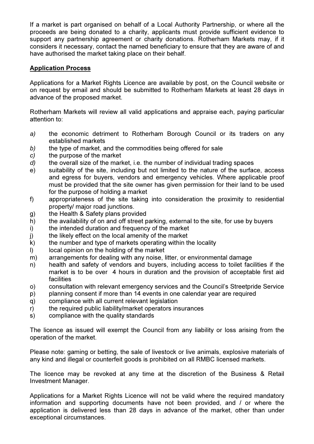If a market is part organised on behalf of a Local Authority Partnership, or where all the proceeds are being donated to a charity, applicants must provide sufficient evidence to support any partnership agreement or charity donations. Rotherham Markets may, if it considers it necessary, contact the named beneficiary to ensure that they are aware of and have authorised the market taking place on their behalf.

### Application Process

Applications for a Market Rights Licence are available by post, on the Council website or on request by email and should be submitted to Rotherham Markets at least 28 days in advance of the proposed market.

Rotherham Markets will review all valid applications and appraise each, paying particular attention to:

- a) the economic detriment to Rotherham Borough Council or its traders on any established markets
- b) the type of market, and the commodities being offered for sale
- c) the purpose of the market
- d) the overall size of the market, i.e. the number of individual trading spaces
- e) suitability of the site, including but not limited to the nature of the surface, access and egress for buyers, vendors and emergency vehicles. Where applicable proof must be provided that the site owner has given permission for their land to be used for the purpose of holding a market
- f) appropriateness of the site taking into consideration the proximity to residential property/ major road junctions.
- g) the Health & Safety plans provided
- h) the availability of on and off street parking, external to the site, for use by buyers
- i) the intended duration and frequency of the market
- j) the likely effect on the local amenity of the market
- k) the number and type of markets operating within the locality
- l) local opinion on the holding of the market
- m) arrangements for dealing with any noise, litter, or environmental damage
- n) health and safety of vendors and buyers, including access to toilet facilities if the market is to be over 4 hours in duration and the provision of acceptable first aid facilities
- o) consultation with relevant emergency services and the Council's Streetpride Service
- p) planning consent if more than 14 events in one calendar year are required
- q) compliance with all current relevant legislation
- r) the required public liability/market operators insurances
- s) compliance with the quality standards

The licence as issued will exempt the Council from any liability or loss arising from the operation of the market.

Please note: gaming or betting, the sale of livestock or live animals, explosive materials of any kind and illegal or counterfeit goods is prohibited on all RMBC licensed markets.

The licence may be revoked at any time at the discretion of the Business & Retail Investment Manager.

Applications for a Market Rights Licence will not be valid where the required mandatory information and supporting documents have not been provided, and / or where the application is delivered less than 28 days in advance of the market, other than under exceptional circumstances.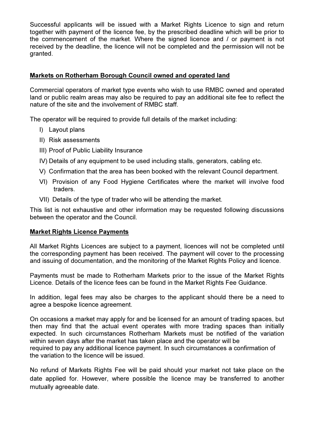Successful applicants will be issued with a Market Rights Licence to sign and return together with payment of the licence fee, by the prescribed deadline which will be prior to the commencement of the market. Where the signed licence and / or payment is not received by the deadline, the licence will not be completed and the permission will not be granted.

### Markets on Rotherham Borough Council owned and operated land

Commercial operators of market type events who wish to use RMBC owned and operated land or public realm areas may also be required to pay an additional site fee to reflect the nature of the site and the involvement of RMBC staff.

The operator will be required to provide full details of the market including:

- I) Layout plans
- II) Risk assessments
- III) Proof of Public Liability Insurance
- IV) Details of any equipment to be used including stalls, generators, cabling etc.
- V) Confirmation that the area has been booked with the relevant Council department.
- VI) Provision of any Food Hygiene Certificates where the market will involve food traders.
- VII) Details of the type of trader who will be attending the market.

This list is not exhaustive and other information may be requested following discussions between the operator and the Council.

#### Market Rights Licence Payments

All Market Rights Licences are subject to a payment, licences will not be completed until the corresponding payment has been received. The payment will cover to the processing and issuing of documentation, and the monitoring of the Market Rights Policy and licence.

Payments must be made to Rotherham Markets prior to the issue of the Market Rights Licence. Details of the licence fees can be found in the Market Rights Fee Guidance.

In addition, legal fees may also be charges to the applicant should there be a need to agree a bespoke licence agreement.

On occasions a market may apply for and be licensed for an amount of trading spaces, but then may find that the actual event operates with more trading spaces than initially expected. In such circumstances Rotherham Markets must be notified of the variation within seven days after the market has taken place and the operator will be required to pay any additional licence payment. In such circumstances a confirmation of the variation to the licence will be issued.

No refund of Markets Rights Fee will be paid should your market not take place on the date applied for. However, where possible the licence may be transferred to another mutually agreeable date.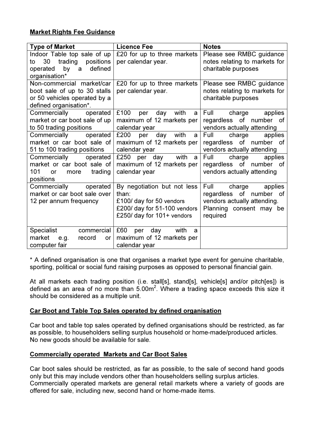## Market Rights Fee Guidance

| <b>Type of Market</b>               | <b>Licence Fee</b>             | <b>Notes</b>                  |
|-------------------------------------|--------------------------------|-------------------------------|
| Indoor Table top sale of up         | £20 for up to three markets    | Please see RMBC guidance      |
| 30 trading positions<br>to          | per calendar year.             | notes relating to markets for |
| operated by a<br>defined            |                                | charitable purposes           |
| organisation*                       |                                |                               |
| Non-commercial market/car           | £20 for up to three markets    | Please see RMBC guidance      |
| boot sale of up to 30 stalls        | per calendar year.             | notes relating to markets for |
| or 50 vehicles operated by a        |                                | charitable purposes           |
| defined organisation*.              |                                |                               |
| Commercially operated               | £100<br>per day with<br>a      | Full charge applies           |
| market or car boot sale of up       | maximum of 12 markets per      | regardless of number<br>0f    |
| to 50 trading positions             | calendar year                  | vendors actually attending    |
| Commercially operated               | £200<br>per day with<br>a      | charge<br>Full<br>applies     |
| market or car boot sale of          | maximum of 12 markets per      | regardless of number<br>0f    |
| 51 to 100 trading positions         | calendar year                  | vendors actually attending    |
| Commercially operated               | £250 per day with<br>- a       | charge<br>Full<br>applies     |
| market or car boot sale of          | maximum of 12 markets per      | regardless of number<br>0f    |
| 101<br>trading<br>more<br><b>or</b> | calendar year                  | vendors actually attending    |
| positions                           |                                |                               |
| Commercially<br>operated            | By negotiation but not less    | Full<br>charge<br>applies     |
| market or car boot sale over        | than:                          | regardless of number of       |
| 12 per annum frequency              | £100/ day for 50 vendors       | vendors actually attending.   |
|                                     | £200/ day for 51-100 vendors   | Planning consent may be       |
|                                     | £250/ day for 101+ vendors     | required                      |
| <b>Specialist</b><br>commercial     | £60<br>with<br>day<br>per<br>a |                               |
| market<br>record<br>e.g.<br>or      | maximum of 12 markets per      |                               |
| computer fair                       | calendar year                  |                               |

\* A defined organisation is one that organises a market type event for genuine charitable, sporting, political or social fund raising purposes as opposed to personal financial gain.

At all markets each trading position (i.e. stall[s], stand[s], vehicle[s] and/or pitch[es]) is defined as an area of no more than 5.00m<sup>2</sup>. Where a trading space exceeds this size it should be considered as a multiple unit.

#### Car Boot and Table Top Sales operated by defined organisation

Car boot and table top sales operated by defined organisations should be restricted, as far as possible, to householders selling surplus household or home-made/produced articles. No new goods should be available for sale.

#### Commercially operated Markets and Car Boot Sales

Car boot sales should be restricted, as far as possible, to the sale of second hand goods only but this may include vendors other than householders selling surplus articles. Commercially operated markets are general retail markets where a variety of goods are offered for sale, including new, second hand or home-made items.